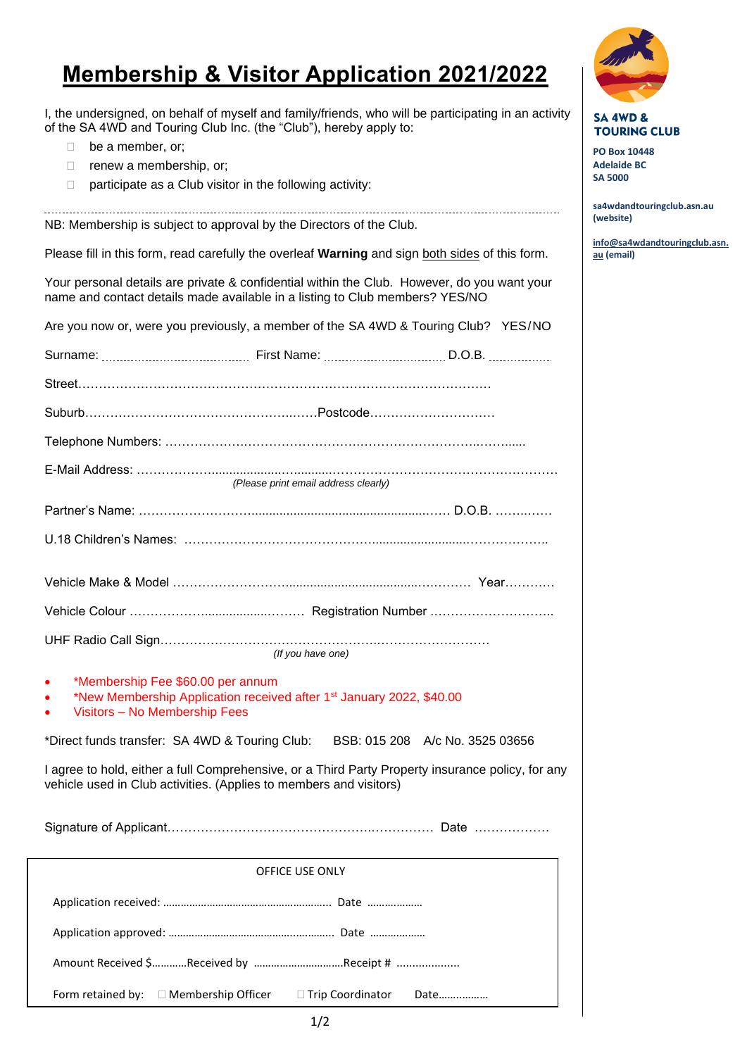## **Membership & Visitor Application 2021/2022**

I, the undersigned, on behalf of myself and family/friends, who will be participating in an activity of the SA 4WD and Touring Club Inc. (the "Club"), hereby apply to:

- **be a member, or;**
- $\Box$  renew a membership, or;
- $\Box$  participate as a Club visitor in the following activity:

NB: Membership is subject to approval by the Directors of the Club.

Please fill in this form, read carefully the overleaf **Warning** and sign both sides of this form.

Your personal details are private & confidential within the Club. However, do you want your name and contact details made available in a listing to Club members? YES/NO

| Are you now or, were you previously, a member of the SA 4WD & Touring Club? YES/NO                                                                                      |  |  |
|-------------------------------------------------------------------------------------------------------------------------------------------------------------------------|--|--|
|                                                                                                                                                                         |  |  |
|                                                                                                                                                                         |  |  |
|                                                                                                                                                                         |  |  |
|                                                                                                                                                                         |  |  |
| (Please print email address clearly)                                                                                                                                    |  |  |
|                                                                                                                                                                         |  |  |
|                                                                                                                                                                         |  |  |
|                                                                                                                                                                         |  |  |
|                                                                                                                                                                         |  |  |
| (If you have one)                                                                                                                                                       |  |  |
| *Membership Fee \$60.00 per annum<br>*New Membership Application received after 1 <sup>st</sup> January 2022, \$40.00<br>Visitors - No Membership Fees                  |  |  |
| *Direct funds transfer: SA 4WD & Touring Club: BSB: 015 208 A/c No. 3525 03656                                                                                          |  |  |
| I agree to hold, either a full Comprehensive, or a Third Party Property insurance policy, for any<br>vehicle used in Club activities. (Applies to members and visitors) |  |  |
|                                                                                                                                                                         |  |  |
| OFFICE USE ONLY                                                                                                                                                         |  |  |
|                                                                                                                                                                         |  |  |
|                                                                                                                                                                         |  |  |
| Amount Received \$Received by Receipt #                                                                                                                                 |  |  |
| Form retained by: □ Membership Officer<br>□ Trip Coordinator<br>Date                                                                                                    |  |  |



**SA 4WD & TOURING CLUB** 

**PO Box 10448 Adelaide BC SA 5000**

**sa4wdandtouringclub.asn.au (website)**

**[info@sa4wdandtouringclub.asn.](mailto:info@sa4wdandtouringclub.asn.au) [au](mailto:info@sa4wdandtouringclub.asn.au) (email)**